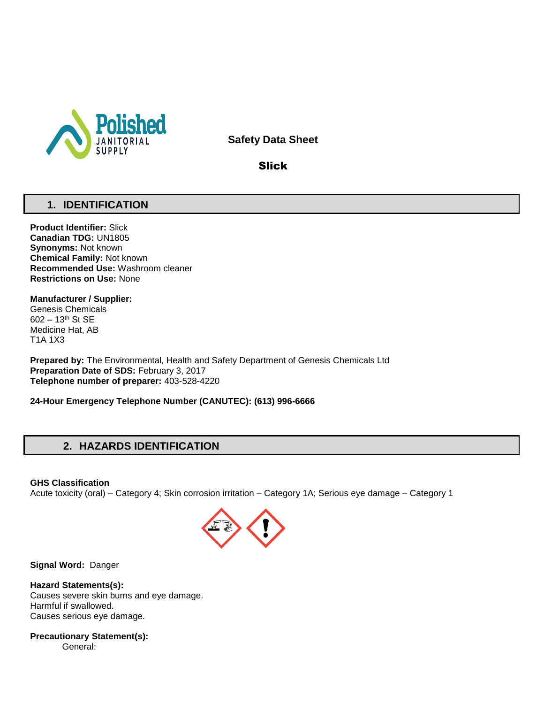

**Safety Data Sheet**

Slick

# **1. IDENTIFICATION**

**Product Identifier:** Slick **Canadian TDG:** UN1805 **Synonyms:** Not known **Chemical Family:** Not known **Recommended Use:** Washroom cleaner **Restrictions on Use:** None

# **Manufacturer / Supplier:**

Genesis Chemicals 602 – 13th St SE Medicine Hat, AB T1A 1X3

**Prepared by:** The Environmental, Health and Safety Department of Genesis Chemicals Ltd **Preparation Date of SDS:** February 3, 2017 **Telephone number of preparer:** 403-528-4220

**24-Hour Emergency Telephone Number (CANUTEC): (613) 996-6666**

# **2. HAZARDS IDENTIFICATION**

**GHS Classification**

Acute toxicity (oral) – Category 4; Skin corrosion irritation – Category 1A; Serious eye damage – Category 1



**Signal Word:** Danger

**Hazard Statements(s):** Causes severe skin burns and eye damage. Harmful if swallowed. Causes serious eye damage.

**Precautionary Statement(s):** General: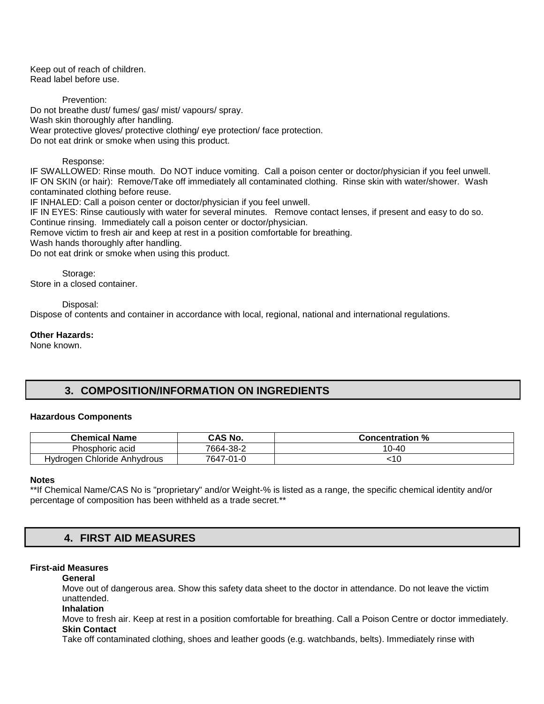Keep out of reach of children. Read label before use.

Prevention:

Do not breathe dust/ fumes/ gas/ mist/ vapours/ spray. Wash skin thoroughly after handling. Wear protective gloves/ protective clothing/ eye protection/ face protection. Do not eat drink or smoke when using this product.

### Response:

IF SWALLOWED: Rinse mouth. Do NOT induce vomiting. Call a poison center or doctor/physician if you feel unwell. IF ON SKIN (or hair): Remove/Take off immediately all contaminated clothing. Rinse skin with water/shower. Wash contaminated clothing before reuse.

IF INHALED: Call a poison center or doctor/physician if you feel unwell.

IF IN EYES: Rinse cautiously with water for several minutes. Remove contact lenses, if present and easy to do so. Continue rinsing. Immediately call a poison center or doctor/physician.

Remove victim to fresh air and keep at rest in a position comfortable for breathing.

Wash hands thoroughly after handling.

Do not eat drink or smoke when using this product.

Storage: Store in a closed container.

Disposal:

Dispose of contents and container in accordance with local, regional, national and international regulations.

### **Other Hazards:**

None known.

# **3. COMPOSITION/INFORMATION ON INGREDIENTS**

### **Hazardous Components**

| <b>Chemical Name</b>        | <b>CAS No.</b> | <b>Concentration %</b> |
|-----------------------------|----------------|------------------------|
| Phosphoric acid             | 7664-38-2      | 10-40                  |
| Hydrogen Chloride Anhydrous | 7647-01-0      | ાા                     |

### **Notes**

\*\*If Chemical Name/CAS No is "proprietary" and/or Weight-% is listed as a range, the specific chemical identity and/or percentage of composition has been withheld as a trade secret.\*\*

# **4. FIRST AID MEASURES**

# **First-aid Measures**

### **General**

Move out of dangerous area. Show this safety data sheet to the doctor in attendance. Do not leave the victim unattended.

**Inhalation** 

Move to fresh air. Keep at rest in a position comfortable for breathing. Call a Poison Centre or doctor immediately. **Skin Contact** 

Take off contaminated clothing, shoes and leather goods (e.g. watchbands, belts). Immediately rinse with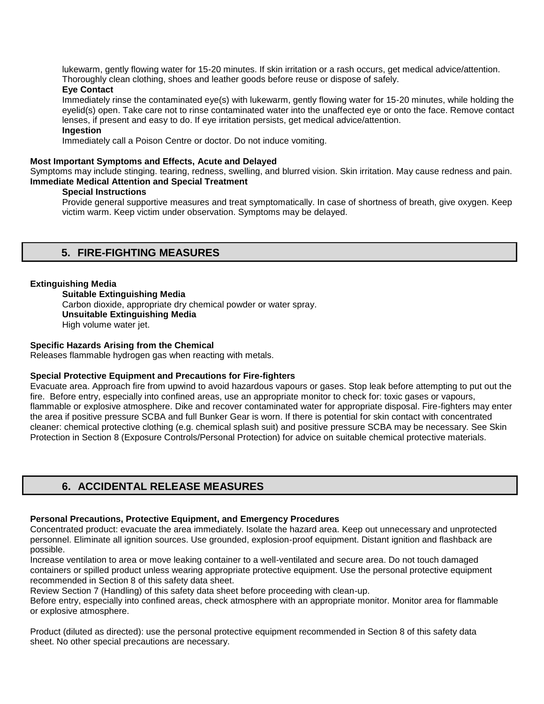lukewarm, gently flowing water for 15-20 minutes. If skin irritation or a rash occurs, get medical advice/attention. Thoroughly clean clothing, shoes and leather goods before reuse or dispose of safely.

# **Eye Contact**

Immediately rinse the contaminated eye(s) with lukewarm, gently flowing water for 15-20 minutes, while holding the eyelid(s) open. Take care not to rinse contaminated water into the unaffected eye or onto the face. Remove contact lenses, if present and easy to do. If eye irritation persists, get medical advice/attention.

# **Ingestion**

Immediately call a Poison Centre or doctor. Do not induce vomiting.

### **Most Important Symptoms and Effects, Acute and Delayed**

Symptoms may include stinging. tearing, redness, swelling, and blurred vision. Skin irritation. May cause redness and pain. **Immediate Medical Attention and Special Treatment** 

### **Special Instructions**

Provide general supportive measures and treat symptomatically. In case of shortness of breath, give oxygen. Keep victim warm. Keep victim under observation. Symptoms may be delayed.

# **5. FIRE-FIGHTING MEASURES**

### **Extinguishing Media**

**Suitable Extinguishing Media** Carbon dioxide, appropriate dry chemical powder or water spray. **Unsuitable Extinguishing Media**  High volume water jet.

### **Specific Hazards Arising from the Chemical**

Releases flammable hydrogen gas when reacting with metals.

# **Special Protective Equipment and Precautions for Fire-fighters**

Evacuate area. Approach fire from upwind to avoid hazardous vapours or gases. Stop leak before attempting to put out the fire. Before entry, especially into confined areas, use an appropriate monitor to check for: toxic gases or vapours, flammable or explosive atmosphere. Dike and recover contaminated water for appropriate disposal. Fire-fighters may enter the area if positive pressure SCBA and full Bunker Gear is worn. If there is potential for skin contact with concentrated cleaner: chemical protective clothing (e.g. chemical splash suit) and positive pressure SCBA may be necessary. See Skin Protection in Section 8 (Exposure Controls/Personal Protection) for advice on suitable chemical protective materials.

# **6. ACCIDENTAL RELEASE MEASURES**

### **Personal Precautions, Protective Equipment, and Emergency Procedures**

Concentrated product: evacuate the area immediately. Isolate the hazard area. Keep out unnecessary and unprotected personnel. Eliminate all ignition sources. Use grounded, explosion-proof equipment. Distant ignition and flashback are possible.

Increase ventilation to area or move leaking container to a well-ventilated and secure area. Do not touch damaged containers or spilled product unless wearing appropriate protective equipment. Use the personal protective equipment recommended in Section 8 of this safety data sheet.

Review Section 7 (Handling) of this safety data sheet before proceeding with clean-up.

Before entry, especially into confined areas, check atmosphere with an appropriate monitor. Monitor area for flammable or explosive atmosphere.

Product (diluted as directed): use the personal protective equipment recommended in Section 8 of this safety data sheet. No other special precautions are necessary.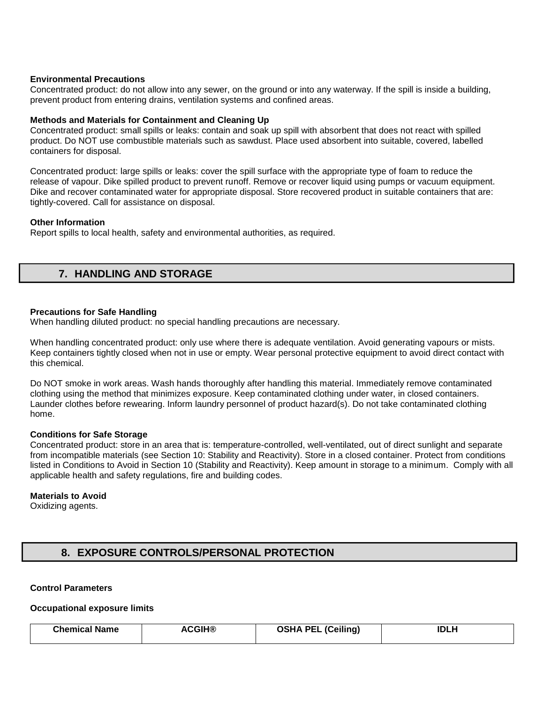### **Environmental Precautions**

Concentrated product: do not allow into any sewer, on the ground or into any waterway. If the spill is inside a building, prevent product from entering drains, ventilation systems and confined areas.

### **Methods and Materials for Containment and Cleaning Up**

Concentrated product: small spills or leaks: contain and soak up spill with absorbent that does not react with spilled product. Do NOT use combustible materials such as sawdust. Place used absorbent into suitable, covered, labelled containers for disposal.

Concentrated product: large spills or leaks: cover the spill surface with the appropriate type of foam to reduce the release of vapour. Dike spilled product to prevent runoff. Remove or recover liquid using pumps or vacuum equipment. Dike and recover contaminated water for appropriate disposal. Store recovered product in suitable containers that are: tightly-covered. Call for assistance on disposal.

### **Other Information**

Report spills to local health, safety and environmental authorities, as required.

# **7. HANDLING AND STORAGE**

### **Precautions for Safe Handling**

When handling diluted product: no special handling precautions are necessary.

When handling concentrated product: only use where there is adequate ventilation. Avoid generating vapours or mists. Keep containers tightly closed when not in use or empty. Wear personal protective equipment to avoid direct contact with this chemical.

Do NOT smoke in work areas. Wash hands thoroughly after handling this material. Immediately remove contaminated clothing using the method that minimizes exposure. Keep contaminated clothing under water, in closed containers. Launder clothes before rewearing. Inform laundry personnel of product hazard(s). Do not take contaminated clothing home.

### **Conditions for Safe Storage**

Concentrated product: store in an area that is: temperature-controlled, well-ventilated, out of direct sunlight and separate from incompatible materials (see Section 10: Stability and Reactivity). Store in a closed container. Protect from conditions listed in Conditions to Avoid in Section 10 (Stability and Reactivity). Keep amount in storage to a minimum. Comply with all applicable health and safety regulations, fire and building codes.

### **Materials to Avoid**

Oxidizing agents.

# **8. EXPOSURE CONTROLS/PERSONAL PROTECTION**

# **Control Parameters**

#### **Occupational exposure limits**

| <b>Chemical Name</b> | <b>ACGIH®</b> | <b>OSHA PEL (Ceiling)</b> | <b>IDLH</b> |
|----------------------|---------------|---------------------------|-------------|
|                      |               |                           |             |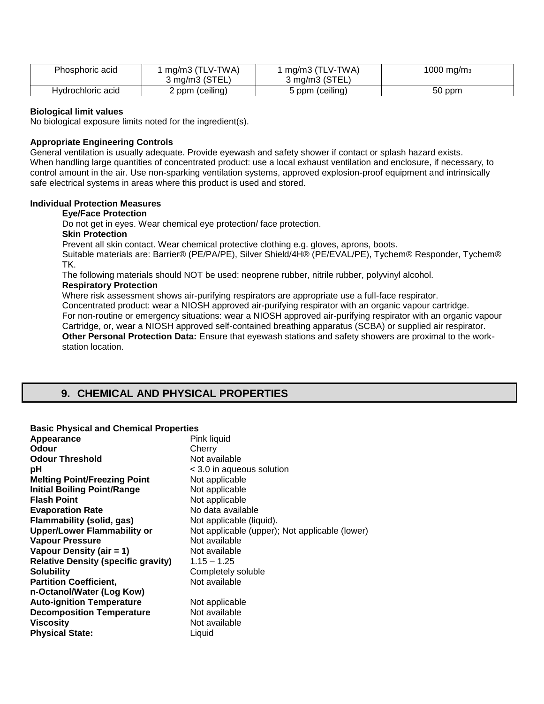| Phosphoric acid   | mg/m3 (TLV-TWA) | mg/m3 (TLV-TWA) | 1000 mg/m $_3$ |
|-------------------|-----------------|-----------------|----------------|
|                   | 3 mg/m3 (STEL,  | 3 mg/m3 (STEL)  |                |
| Hydrochloric acid | 2 ppm (ceiling) | ppm (ceiling)   | 50 ppm         |

### **Biological limit values**

No biological exposure limits noted for the ingredient(s).

### **Appropriate Engineering Controls**

General ventilation is usually adequate. Provide eyewash and safety shower if contact or splash hazard exists. When handling large quantities of concentrated product: use a local exhaust ventilation and enclosure, if necessary, to control amount in the air. Use non-sparking ventilation systems, approved explosion-proof equipment and intrinsically safe electrical systems in areas where this product is used and stored.

#### **Individual Protection Measures**

#### **Eye/Face Protection**

Do not get in eyes. Wear chemical eye protection/ face protection.

# **Skin Protection**

Prevent all skin contact. Wear chemical protective clothing e.g. gloves, aprons, boots.

Suitable materials are: Barrier® (PE/PA/PE), Silver Shield/4H® (PE/EVAL/PE), Tychem® Responder, Tychem® TK.

The following materials should NOT be used: neoprene rubber, nitrile rubber, polyvinyl alcohol.

# **Respiratory Protection**

Where risk assessment shows air-purifying respirators are appropriate use a full-face respirator. Concentrated product: wear a NIOSH approved air-purifying respirator with an organic vapour cartridge. For non-routine or emergency situations: wear a NIOSH approved air-purifying respirator with an organic vapour Cartridge, or, wear a NIOSH approved self-contained breathing apparatus (SCBA) or supplied air respirator. **Other Personal Protection Data:** Ensure that eyewash stations and safety showers are proximal to the workstation location.

# **9. CHEMICAL AND PHYSICAL PROPERTIES**

# **Basic Physical and Chemical Properties**

| Appearance                                 | Pink liquid                                    |
|--------------------------------------------|------------------------------------------------|
| <b>Odour</b>                               | Cherry                                         |
| <b>Odour Threshold</b>                     | Not available                                  |
| рH                                         | < 3.0 in aqueous solution                      |
| <b>Melting Point/Freezing Point</b>        | Not applicable                                 |
| <b>Initial Boiling Point/Range</b>         | Not applicable                                 |
| <b>Flash Point</b>                         | Not applicable                                 |
| <b>Evaporation Rate</b>                    | No data available                              |
| <b>Flammability (solid, gas)</b>           | Not applicable (liquid).                       |
| <b>Upper/Lower Flammability or</b>         | Not applicable (upper); Not applicable (lower) |
| <b>Vapour Pressure</b>                     | Not available                                  |
| Vapour Density (air = 1)                   | Not available                                  |
| <b>Relative Density (specific gravity)</b> | $1.15 - 1.25$                                  |
| <b>Solubility</b>                          | Completely soluble                             |
| <b>Partition Coefficient,</b>              | Not available                                  |
| n-Octanol/Water (Log Kow)                  |                                                |
| <b>Auto-ignition Temperature</b>           | Not applicable                                 |
| <b>Decomposition Temperature</b>           | Not available                                  |
| <b>Viscosity</b>                           | Not available                                  |
| <b>Physical State:</b>                     | Liquid                                         |
|                                            |                                                |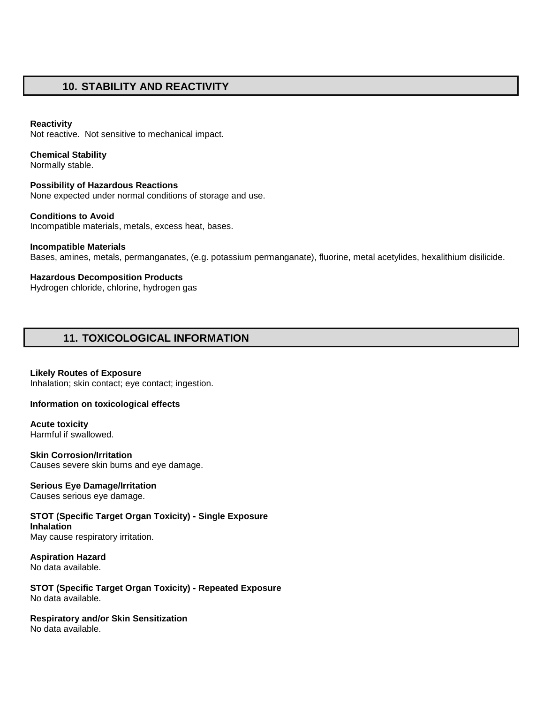# **10. STABILITY AND REACTIVITY**

# **Reactivity**

Not reactive. Not sensitive to mechanical impact.

# **Chemical Stability**

Normally stable.

# **Possibility of Hazardous Reactions**  None expected under normal conditions of storage and use.

**Conditions to Avoid**  Incompatible materials, metals, excess heat, bases.

# **Incompatible Materials**  Bases, amines, metals, permanganates, (e.g. potassium permanganate), fluorine, metal acetylides, hexalithium disilicide.

**Hazardous Decomposition Products** 

Hydrogen chloride, chlorine, hydrogen gas

# **11. TOXICOLOGICAL INFORMATION**

**Likely Routes of Exposure**  Inhalation; skin contact; eye contact; ingestion.

# **Information on toxicological effects**

**Acute toxicity** Harmful if swallowed.

**Skin Corrosion/Irritation**  Causes severe skin burns and eye damage.

# **Serious Eye Damage/Irritation**

Causes serious eye damage.

**STOT (Specific Target Organ Toxicity) - Single Exposure Inhalation** 

May cause respiratory irritation.

**Aspiration Hazard** No data available.

**STOT (Specific Target Organ Toxicity) - Repeated Exposure**  No data available.

**Respiratory and/or Skin Sensitization**  No data available.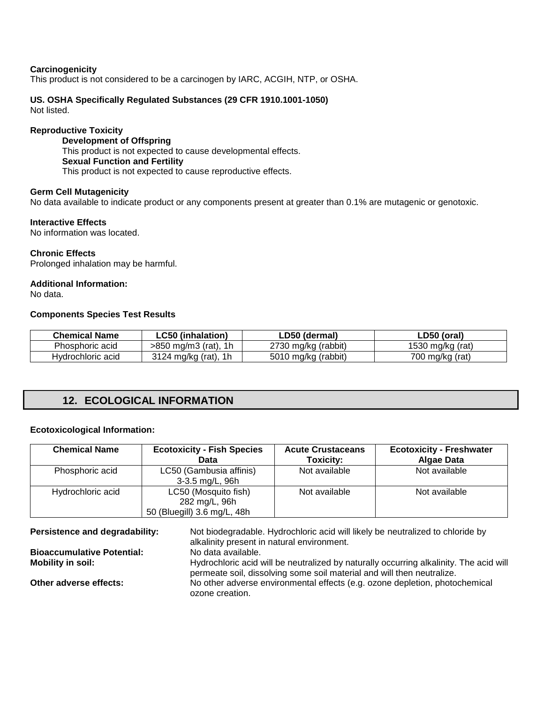### **Carcinogenicity**

This product is not considered to be a carcinogen by IARC, ACGIH, NTP, or OSHA.

# **US. OSHA Specifically Regulated Substances (29 CFR 1910.1001-1050)**

Not listed.

## **Reproductive Toxicity**

**Development of Offspring**  This product is not expected to cause developmental effects. **Sexual Function and Fertility**  This product is not expected to cause reproductive effects.

### **Germ Cell Mutagenicity**

No data available to indicate product or any components present at greater than 0.1% are mutagenic or genotoxic.

### **Interactive Effects**

No information was located.

### **Chronic Effects**

Prolonged inhalation may be harmful.

### **Additional Information:**

No data.

### **Components Species Test Results**

| Chemical Name     | ∟C50 (inhalation)      | LD50 (dermal)       | ∟D50 (oral)      |
|-------------------|------------------------|---------------------|------------------|
| Phosphoric acid   | $>850$ mg/m3 (rat), 1h | 2730 mg/kg (rabbit) | 1530 mg/kg (rat) |
| Hydrochloric acid | 3124 mg/kg (rat), 1h   | 5010 mg/kg (rabbit) | 700 mg/kg (rat)  |

# **12. ECOLOGICAL INFORMATION**

### **Ecotoxicological Information:**

| <b>Chemical Name</b> | <b>Ecotoxicity - Fish Species</b><br>Data                            | <b>Acute Crustaceans</b><br>Toxicity: | <b>Ecotoxicity - Freshwater</b><br><b>Algae Data</b> |
|----------------------|----------------------------------------------------------------------|---------------------------------------|------------------------------------------------------|
| Phosphoric acid      | LC50 (Gambusia affinis)<br>3-3.5 mg/L, 96h                           | Not available                         | Not available                                        |
| Hydrochloric acid    | LC50 (Mosquito fish)<br>282 mg/L, 96h<br>50 (Bluegill) 3.6 mg/L, 48h | Not available                         | Not available                                        |

**Persistence and degradability:** Not biodegradable. Hydrochloric acid will likely be neutralized to chloride by alkalinity present in natural environment.<br>No data available. **Bioaccumulative Potential:**<br>Mobility in soil: Hydrochloric acid will be neutralized by naturally occurring alkalinity. The acid will permeate soil, dissolving some soil material and will then neutralize. **Other adverse effects:** No other adverse environmental effects (e.g. ozone depletion, photochemical ozone creation.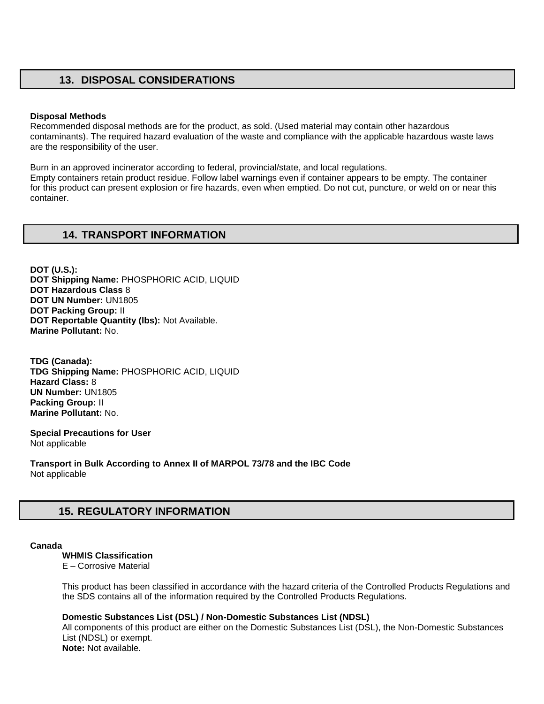# **13. DISPOSAL CONSIDERATIONS**

### **Disposal Methods**

Recommended disposal methods are for the product, as sold. (Used material may contain other hazardous contaminants). The required hazard evaluation of the waste and compliance with the applicable hazardous waste laws are the responsibility of the user.

Burn in an approved incinerator according to federal, provincial/state, and local regulations. Empty containers retain product residue. Follow label warnings even if container appears to be empty. The container for this product can present explosion or fire hazards, even when emptied. Do not cut, puncture, or weld on or near this container.

# **14. TRANSPORT INFORMATION**

**DOT (U.S.): DOT Shipping Name:** PHOSPHORIC ACID, LIQUID **DOT Hazardous Class** 8 **DOT UN Number:** UN1805 **DOT Packing Group:** II **DOT Reportable Quantity (lbs):** Not Available. **Marine Pollutant:** No.

**TDG (Canada): TDG Shipping Name:** PHOSPHORIC ACID, LIQUID **Hazard Class:** 8 **UN Number:** UN1805 **Packing Group:** II **Marine Pollutant:** No.

**Special Precautions for User** Not applicable

**Transport in Bulk According to Annex II of MARPOL 73/78 and the IBC Code**  Not applicable

# **15. REGULATORY INFORMATION**

#### **Canada**

**WHMIS Classification** 

E – Corrosive Material

This product has been classified in accordance with the hazard criteria of the Controlled Products Regulations and the SDS contains all of the information required by the Controlled Products Regulations.

## **Domestic Substances List (DSL) / Non-Domestic Substances List (NDSL)**

All components of this product are either on the Domestic Substances List (DSL), the Non-Domestic Substances List (NDSL) or exempt. **Note:** Not available.